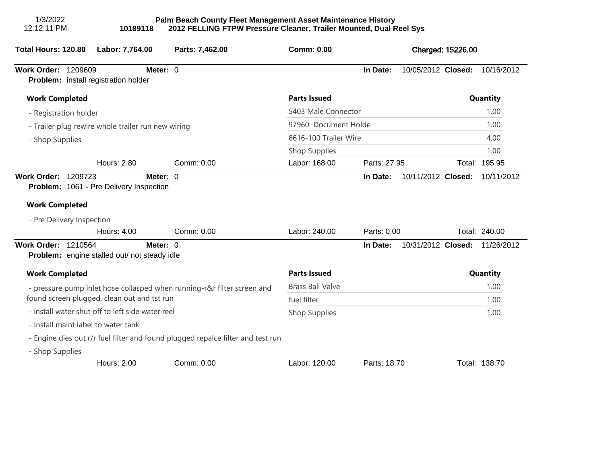| 1/3/2022<br>12:12:11 PM<br>10189118                                             | Palm Beach County Fleet Management Asset Maintenance History | 2012 FELLING FTPW Pressure Cleaner, Trailer Mounted, Dual Reel Sys |              |                    |  |                               |
|---------------------------------------------------------------------------------|--------------------------------------------------------------|--------------------------------------------------------------------|--------------|--------------------|--|-------------------------------|
| Total Hours: 120.80<br>Labor: 7,764.00                                          | Parts: 7,462.00                                              | <b>Comm: 0.00</b>                                                  |              | Charged: 15226.00  |  |                               |
| Work Order: 1209609<br>Problem: install registration holder                     | Meter: 0                                                     |                                                                    | In Date:     |                    |  | 10/05/2012 Closed: 10/16/2012 |
| <b>Work Completed</b>                                                           |                                                              | <b>Parts Issued</b>                                                |              |                    |  | Quantity                      |
| - Registration holder                                                           |                                                              | 5403 Male Connector                                                |              |                    |  | 1.00                          |
| - Trailer plug rewire whole trailer run new wiring                              |                                                              | 97960 Document Holde                                               |              |                    |  | 1.00                          |
| - Shop Supplies                                                                 |                                                              | 8616-100 Trailer Wire                                              |              |                    |  | 4.00                          |
|                                                                                 |                                                              | Shop Supplies                                                      |              |                    |  | 1.00                          |
| <b>Hours: 2.80</b>                                                              | Comm: 0.00                                                   | Labor: 168.00                                                      | Parts: 27.95 |                    |  | Total: 195.95                 |
| <b>Work Completed</b><br>- Pre Delivery Inspection<br>Hours: 4.00               | Comm: 0.00                                                   | Labor: 240.00                                                      | Parts: 0.00  |                    |  | Total: 240.00                 |
| <b>Work Order: 1210564</b><br>Problem: engine stalled out/ not steady idle      | Meter: 0                                                     |                                                                    | In Date:     | 10/31/2012 Closed: |  | 11/26/2012                    |
| <b>Work Completed</b>                                                           |                                                              | <b>Parts Issued</b>                                                |              |                    |  | Quantity                      |
| - pressure pump inlet hose collasped when running-r&r filter screen and         |                                                              | <b>Brass Ball Valve</b>                                            |              |                    |  | 1.00                          |
| found screen plugged. clean out and tst run                                     |                                                              | fuel filter                                                        |              |                    |  | 1.00                          |
| - install water shut off to left side water reel                                |                                                              | <b>Shop Supplies</b>                                               |              |                    |  | 1.00                          |
| - Install maint label to water tank                                             |                                                              |                                                                    |              |                    |  |                               |
| - Engine dies out r/r fuel filter and found plugged repalce filter and test run |                                                              |                                                                    |              |                    |  |                               |
| - Shop Supplies                                                                 |                                                              |                                                                    |              |                    |  |                               |
| Hours: 2.00                                                                     | Comm: 0.00                                                   | Labor: 120.00                                                      | Parts: 18.70 |                    |  | Total: 138.70                 |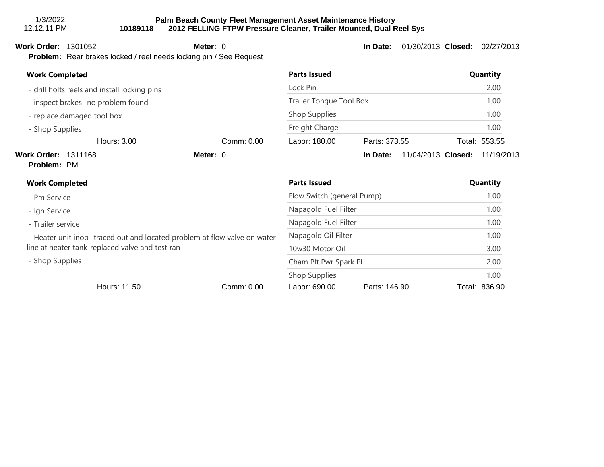### **Palm Beach County Fleet Management Asset Maintenance History 10189118 2012 FELLING FTPW Pressure Cleaner, Trailer Mounted, Dual Reel Sys**

#### **Work Order:** 1301052 **Meter:** 0 **In Date:** 01/30/2013 **Closed:** 02/27/2013 **Problem:** Rear brakes locked / reel needs locking pin / See Request - drill holts reels and install locking pins - inspect brakes -no problem found - replace damaged tool box - Shop Supplies **Work Completed Parts Issued Quantity** Lock Pin 2.00 Trailer Tongue Tool Box 1.00 Shop Supplies 1.00 Freight Charge 1.00 Hours: 3.00 Comm: 0.00 Labor: 180.00 Parts: 373.55 Total: 553.55 **Work Order:** 1311168 **Meter:** 0 **In Date:** 11/04/2013 **Closed:** 11/19/2013 **Problem:** PM - Pm Service - Ign Service - Trailer service - Heater unit inop -traced out and located problem at flow valve on water line at heater tank-replaced valve and test ran - Shop Supplies **Work Completed Parts Issued Quantity** Flow Switch (general Pump) 1.00 Napagold Fuel Filter 1.00 Napagold Fuel Filter 1.00 Napagold Oil Filter 1.00 10w30 Motor Oil 3.00 Cham Plt Pwr Spark Pl 2.00 Shop Supplies 1.00 Hours: 11.50 Comm: 0.00 Labor: 690.00 Parts: 146.90 Total: 836.90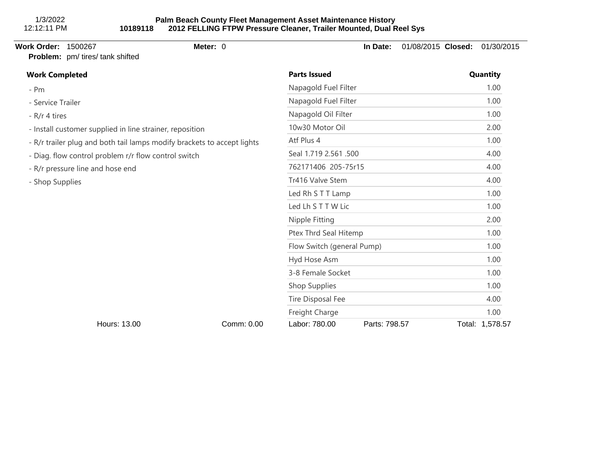# **Problem:** pm/ tires/ tank shifted

# **Work Order:** 1500267 **Meter:** 0 **In Date:** 01/08/2015 **Closed:** 01/30/2015

| <b>Work Completed</b>                                                   |            | <b>Parts Issued</b>        | Quantity      |                 |
|-------------------------------------------------------------------------|------------|----------------------------|---------------|-----------------|
| $- Pm$                                                                  |            | Napagold Fuel Filter       |               | 1.00            |
| - Service Trailer                                                       |            | Napagold Fuel Filter       | 1.00          |                 |
| - R/r 4 tires                                                           |            | Napagold Oil Filter        | 1.00          |                 |
| - Install customer supplied in line strainer, reposition                |            | 10w30 Motor Oil            | 2.00          |                 |
| - R/r trailer plug and both tail lamps modify brackets to accept lights |            | Atf Plus 4                 | 1.00          |                 |
| - Diag. flow control problem r/r flow control switch                    |            | Seal 1.719 2.561 .500      | 4.00          |                 |
| - R/r pressure line and hose end                                        |            | 762171406 205-75r15        | 4.00          |                 |
| - Shop Supplies                                                         |            | Tr416 Valve Stem           | 4.00          |                 |
|                                                                         |            | Led Rh S T T Lamp          | 1.00          |                 |
|                                                                         |            | Led Lh S T T W Lic         | 1.00          |                 |
|                                                                         |            | Nipple Fitting             | 2.00          |                 |
|                                                                         |            | Ptex Thrd Seal Hitemp      | 1.00          |                 |
|                                                                         |            | Flow Switch (general Pump) | 1.00          |                 |
|                                                                         |            | Hyd Hose Asm               | 1.00          |                 |
|                                                                         |            | 3-8 Female Socket          |               | 1.00            |
|                                                                         |            | Shop Supplies              | 1.00          |                 |
|                                                                         |            | Tire Disposal Fee          | 4.00          |                 |
|                                                                         |            | Freight Charge             | 1.00          |                 |
| Hours: 13.00                                                            | Comm: 0.00 | Labor: 780.00              | Parts: 798.57 | Total: 1,578.57 |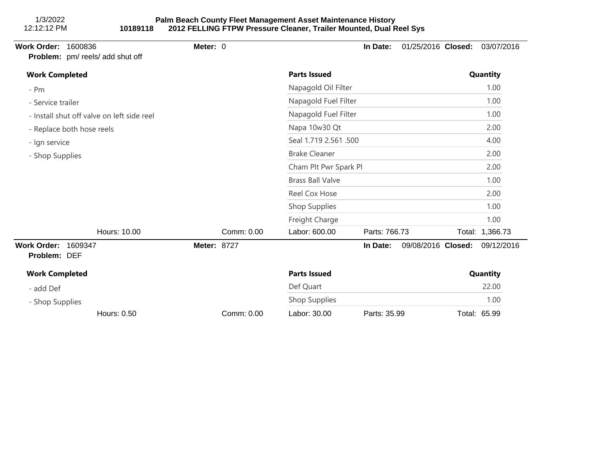| <b>Work Order:</b><br>1600836<br>Problem: pm/ reels/ add shut off | Meter: 0           |                         | In Date:      | 01/25/2016 Closed: | 03/07/2016      |
|-------------------------------------------------------------------|--------------------|-------------------------|---------------|--------------------|-----------------|
| <b>Work Completed</b>                                             |                    | <b>Parts Issued</b>     |               |                    | Quantity        |
| $- Pm$                                                            |                    | Napagold Oil Filter     |               |                    | 1.00            |
| - Service trailer                                                 |                    | Napagold Fuel Filter    |               |                    | 1.00            |
| - Install shut off valve on left side reel                        |                    | Napagold Fuel Filter    |               |                    | 1.00            |
| - Replace both hose reels                                         |                    | Napa 10w30 Qt           |               |                    | 2.00            |
| - Ign service                                                     |                    | Seal 1.719 2.561 .500   |               |                    | 4.00            |
| - Shop Supplies                                                   |                    | <b>Brake Cleaner</b>    |               |                    | 2.00            |
|                                                                   |                    | Cham Plt Pwr Spark Pl   |               |                    | 2.00            |
|                                                                   |                    | <b>Brass Ball Valve</b> |               |                    | 1.00            |
|                                                                   |                    | Reel Cox Hose           |               |                    | 2.00            |
|                                                                   |                    | Shop Supplies           |               |                    | 1.00            |
|                                                                   |                    | Freight Charge          |               |                    | 1.00            |
| Hours: 10.00                                                      | Comm: 0.00         | Labor: 600.00           | Parts: 766.73 |                    | Total: 1,366.73 |
| <b>Work Order:</b><br>1609347<br>Problem: DEF                     | <b>Meter: 8727</b> |                         | In Date:      | 09/08/2016 Closed: | 09/12/2016      |
| <b>Work Completed</b>                                             |                    | <b>Parts Issued</b>     |               |                    | Quantity        |
| - add Def                                                         |                    | Def Quart               |               |                    | 22.00           |
| - Shop Supplies                                                   |                    | Shop Supplies           |               |                    | 1.00            |
| Hours: 0.50                                                       | Comm: 0.00         | Labor: 30.00            | Parts: 35.99  |                    | Total: 65.99    |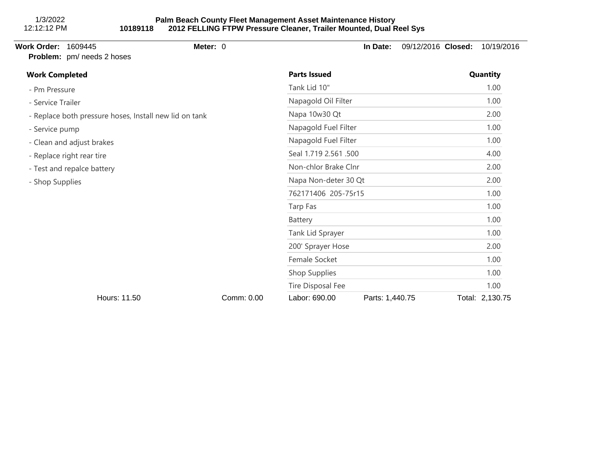### **Palm Beach County Fleet Management Asset Maintenance History 10189118 2012 FELLING FTPW Pressure Cleaner, Trailer Mounted, Dual Reel Sys**

## **Work Order:** 1609445 **Meter:** 0 **In Date:** 09/12/2016 **Closed:** 10/19/2016 **Problem:** pm/ needs 2 hoses - Pm Pressure - Service Trailer - Replace both pressure hoses, Install new lid on tank - Service pump - Clean and adjust brakes - Replace right rear tire - Test and repalce battery - Shop Supplies **Work Completed Parts Issued Quantity** Tank Lid 10" 1.00 Napagold Oil Filter 1.00 Napa 10w30 Qt 2.00 Napagold Fuel Filter 1.00 Napagold Fuel Filter 1.00 Seal 1.719 2.561 .500 4.00 Non-chlor Brake Clnr 2.00 Napa Non-deter 30 Qt 2.00 762171406 205-75r15 1.00 Tarp Fas 1.00 Battery 1.00 Tank Lid Sprayer 1.00 200' Sprayer Hose 2.00 Female Socket 1.00 Shop Supplies 1.00 Tire Disposal Fee 2012 1.00 Hours: 11.50 Comm: 0.00 Labor: 690.00 Parts: 1,440.75 Total: 2,130.75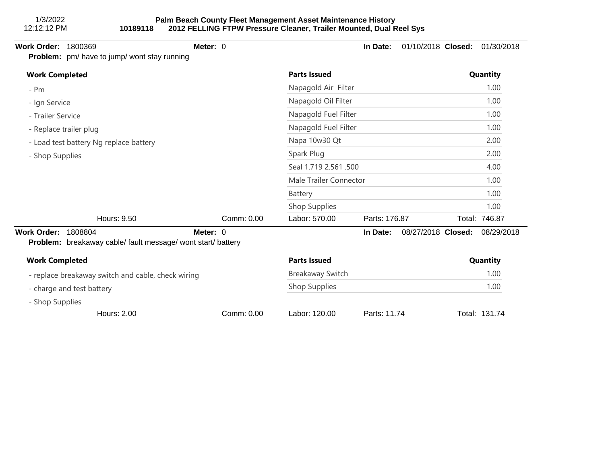**Problem:** pm/ have to jump/ wont stay running

**Work Order:** 1800369 **Meter:** 0 **In Date:** 01/10/2018 **Closed:** 01/30/2018

| <b>Work Completed</b>                                                                                                      |            | <b>Parts Issued</b>                         |               |                    |      | Quantity      |  |
|----------------------------------------------------------------------------------------------------------------------------|------------|---------------------------------------------|---------------|--------------------|------|---------------|--|
| $- Pm$                                                                                                                     |            | Napagold Air Filter                         |               |                    | 1.00 |               |  |
| - Ign Service<br>Hours: 9.50<br>1808804<br>Meter: 0<br><b>Problem:</b> breakaway cable/ fault message/ wont start/ battery |            | Napagold Oil Filter<br>Napagold Fuel Filter |               |                    |      | 1.00          |  |
| - Trailer Service                                                                                                          |            |                                             |               |                    |      | 1.00          |  |
| - Replace trailer plug<br>- Load test battery Ng replace battery                                                           |            | Napagold Fuel Filter<br>Napa 10w30 Qt       |               |                    |      | 1.00          |  |
|                                                                                                                            |            |                                             |               |                    |      | 2.00          |  |
| - Shop Supplies                                                                                                            |            | Spark Plug                                  |               |                    |      | 2.00          |  |
|                                                                                                                            |            | Seal 1.719 2.561 .500                       |               |                    |      | 4.00          |  |
|                                                                                                                            |            | Male Trailer Connector                      |               |                    |      | 1.00          |  |
|                                                                                                                            |            | Battery                                     |               |                    |      | 1.00          |  |
|                                                                                                                            |            | Shop Supplies                               |               |                    |      | 1.00          |  |
|                                                                                                                            | Comm: 0.00 | Labor: 570.00                               | Parts: 176.87 |                    |      | Total: 746.87 |  |
| <b>Work Order:</b>                                                                                                         |            |                                             | In Date:      | 08/27/2018 Closed: |      | 08/29/2018    |  |
| <b>Work Completed</b><br>- replace breakaway switch and cable, check wiring                                                |            | <b>Parts Issued</b>                         |               |                    |      | Quantity      |  |
|                                                                                                                            |            | <b>Breakaway Switch</b>                     |               |                    | 1.00 |               |  |
| - charge and test battery                                                                                                  |            | Shop Supplies                               |               |                    |      | 1.00          |  |
| - Shop Supplies                                                                                                            |            |                                             |               |                    |      |               |  |

Hours: 2.00 Comm: 0.00 Labor: 120.00 Parts: 11.74 Total: 131.74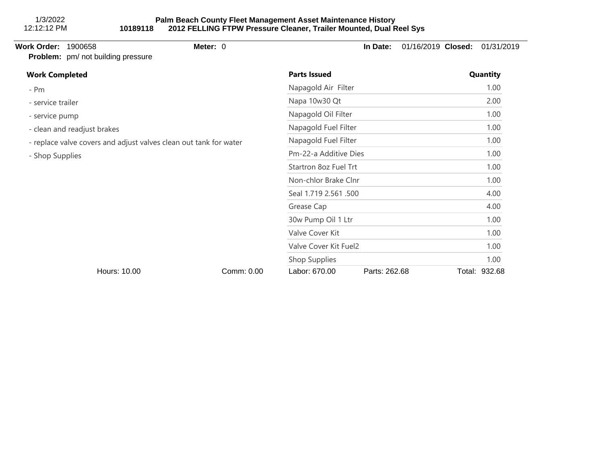**Work Order:** 1900658 **Meter:** 0 **In Date:** 01/16/2019 **Closed:** 01/31/2019 **Problem:** pm/ not building pressure - Pm - service trailer - service pump - clean and readjust brakes - replace valve covers and adjust valves clean out tank for water - Shop Supplies **Work Completed Parts Issued Quantity** Napagold Air Filter 1.00 Napa 10w30 Qt 2.00 Napagold Oil Filter 1.00 Napagold Fuel Filter 1.00 Napagold Fuel Filter 1.00 Pm-22-a Additive Dies 1.00 Startron 8oz Fuel Trt 1.00 Non-chlor Brake Clnr 1.00 Seal 1.719 2.561 .500 4.00 Grease Cap 4.00 30w Pump Oil 1 Ltr 1.00 Valve Cover Kit 1.00 Valve Cover Kit Fuel2 1.00 Shop Supplies 1.00

Hours: 10.00 Comm: 0.00 Labor: 670.00 Parts: 262.68 Total: 932.68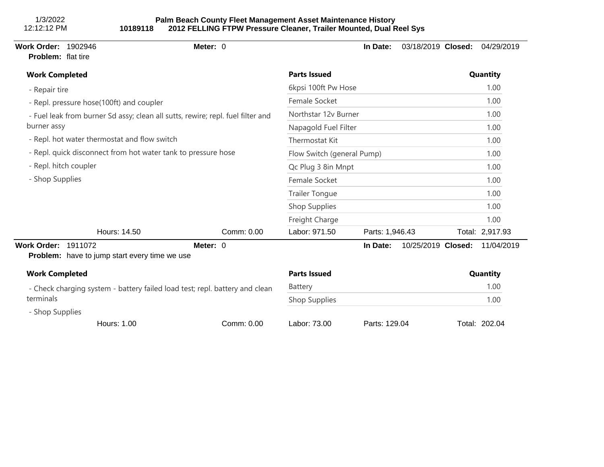1/3/2022 12:12:12 PM

#### **Palm Beach County Fleet Management Asset Maintenance History 10189118 2012 FELLING FTPW Pressure Cleaner, Trailer Mounted, Dual Reel Sys**

| <b>Work Order: 1902946</b><br>Problem: flat tire              |                                                      | Meter: 0                                                                        |                            | In Date:        | 03/18/2019 Closed: | 04/29/2019      |
|---------------------------------------------------------------|------------------------------------------------------|---------------------------------------------------------------------------------|----------------------------|-----------------|--------------------|-----------------|
| <b>Work Completed</b>                                         |                                                      |                                                                                 | <b>Parts Issued</b>        |                 |                    | Quantity        |
| - Repair tire                                                 |                                                      |                                                                                 | 6kpsi 100ft Pw Hose        |                 |                    | 1.00            |
|                                                               | - Repl. pressure hose(100ft) and coupler             |                                                                                 | Female Socket              |                 |                    | 1.00            |
|                                                               |                                                      | - Fuel leak from burner Sd assy; clean all sutts, rewire; repl. fuel filter and | Northstar 12v Burner       |                 |                    | 1.00            |
| burner assy                                                   |                                                      |                                                                                 | Napagold Fuel Filter       |                 |                    | 1.00            |
|                                                               | - Repl. hot water thermostat and flow switch         |                                                                                 | Thermostat Kit             |                 |                    | 1.00            |
| - Repl. quick disconnect from hot water tank to pressure hose |                                                      |                                                                                 | Flow Switch (general Pump) |                 |                    | 1.00            |
| - Repl. hitch coupler                                         |                                                      |                                                                                 | Qc Plug 3 8in Mnpt         |                 |                    | 1.00            |
| - Shop Supplies                                               |                                                      | Female Socket                                                                   |                            |                 | 1.00               |                 |
|                                                               |                                                      |                                                                                 | <b>Trailer Tongue</b>      |                 |                    | 1.00            |
|                                                               |                                                      |                                                                                 | Shop Supplies              |                 |                    | 1.00            |
|                                                               |                                                      |                                                                                 | Freight Charge             |                 |                    | 1.00            |
|                                                               | Hours: 14.50                                         | Comm: 0.00                                                                      | Labor: 971.50              | Parts: 1,946.43 |                    | Total: 2,917.93 |
| <b>Work Order: 1911072</b>                                    | <b>Problem:</b> have to jump start every time we use | Meter: 0                                                                        |                            | In Date:        | 10/25/2019 Closed: | 11/04/2019      |
| <b>Work Completed</b>                                         |                                                      |                                                                                 | <b>Parts Issued</b>        |                 |                    | Quantity        |
|                                                               |                                                      | - Check charging system - battery failed load test; repl. battery and clean     | Battery                    |                 |                    | 1.00            |
| terminals                                                     |                                                      |                                                                                 | Shop Supplies              |                 |                    | 1.00            |
| - Shop Supplies                                               |                                                      |                                                                                 |                            |                 |                    |                 |
|                                                               | Hours: 1.00                                          | Comm: 0.00                                                                      | Labor: 73.00               | Parts: 129.04   |                    | Total: 202.04   |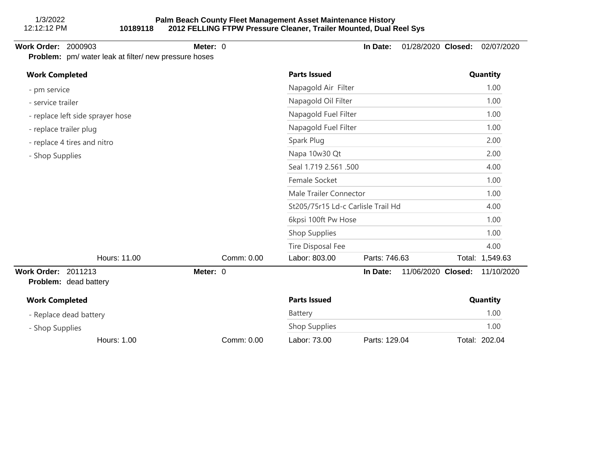**Problem:** pm/ water leak at filter/ new pressure hoses

# **Work Order:** 2000903 **Meter:** 0 **In Date:** 01/28/2020 **Closed:** 02/07/2020

| <b>Work Completed</b>                                                                                                                                                                                          |  |            | <b>Parts Issued</b>         |                      |                    |               | Quantity        |  |
|----------------------------------------------------------------------------------------------------------------------------------------------------------------------------------------------------------------|--|------------|-----------------------------|----------------------|--------------------|---------------|-----------------|--|
| - pm service                                                                                                                                                                                                   |  |            | Napagold Air Filter         |                      |                    | 1.00          |                 |  |
| - service trailer                                                                                                                                                                                              |  |            | Napagold Oil Filter         |                      |                    | 1.00          |                 |  |
| - replace left side sprayer hose                                                                                                                                                                               |  |            | Napagold Fuel Filter        |                      |                    |               | 1.00            |  |
| - replace trailer plug                                                                                                                                                                                         |  |            |                             | Napagold Fuel Filter |                    |               | 1.00            |  |
| - replace 4 tires and nitro                                                                                                                                                                                    |  |            | Spark Plug<br>Napa 10w30 Qt |                      |                    |               | 2.00            |  |
| - Shop Supplies                                                                                                                                                                                                |  |            |                             |                      |                    |               | 2.00            |  |
|                                                                                                                                                                                                                |  |            |                             |                      |                    |               | 4.00            |  |
|                                                                                                                                                                                                                |  |            | Female Socket               |                      |                    |               | 1.00            |  |
|                                                                                                                                                                                                                |  |            |                             |                      |                    |               | 1.00            |  |
|                                                                                                                                                                                                                |  |            |                             |                      |                    |               | 4.00            |  |
|                                                                                                                                                                                                                |  |            |                             |                      |                    |               | 1.00            |  |
|                                                                                                                                                                                                                |  |            | Shop Supplies               |                      |                    |               | 1.00            |  |
|                                                                                                                                                                                                                |  |            | Tire Disposal Fee           |                      |                    |               | 4.00            |  |
| Hours: 11.00                                                                                                                                                                                                   |  | Comm: 0.00 | Labor: 803.00               |                      |                    |               | Total: 1,549.63 |  |
| Work Order: 2011213<br>Problem: dead battery                                                                                                                                                                   |  |            |                             | In Date:             | 11/06/2020 Closed: |               | 11/10/2020      |  |
| <b>Work Completed</b>                                                                                                                                                                                          |  |            | <b>Parts Issued</b>         |                      |                    |               | Quantity        |  |
| - Replace dead battery                                                                                                                                                                                         |  |            | Battery                     |                      |                    |               | 1.00            |  |
| - Shop Supplies                                                                                                                                                                                                |  |            | Shop Supplies               |                      |                    |               | 1.00            |  |
| Seal 1.719 2.561 .500<br>Male Trailer Connector<br>St205/75r15 Ld-c Carlisle Trail Hd<br>6kpsi 100ft Pw Hose<br>Parts: 746.63<br>Meter: 0<br><b>Hours: 1.00</b><br>Comm: 0.00<br>Labor: 73.00<br>Parts: 129.04 |  |            |                             |                      |                    | Total: 202.04 |                 |  |